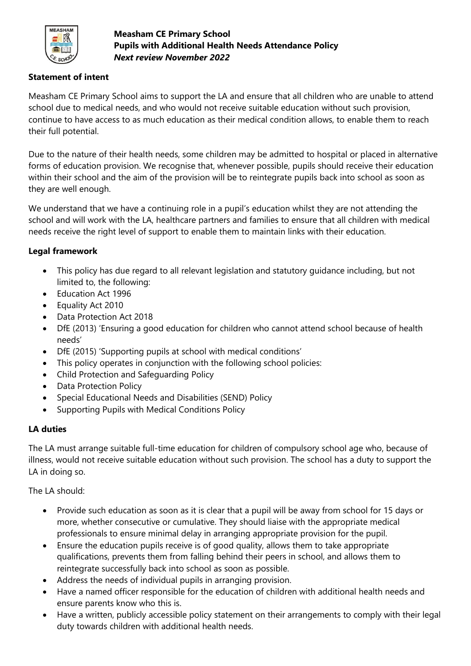

**Measham CE Primary School Pupils with Additional Health Needs Attendance Policy** *Next review November 2022*

### **Statement of intent**

Measham CE Primary School aims to support the LA and ensure that all children who are unable to attend school due to medical needs, and who would not receive suitable education without such provision, continue to have access to as much education as their medical condition allows, to enable them to reach their full potential.

Due to the nature of their health needs, some children may be admitted to hospital or placed in alternative forms of education provision. We recognise that, whenever possible, pupils should receive their education within their school and the aim of the provision will be to reintegrate pupils back into school as soon as they are well enough.

We understand that we have a continuing role in a pupil's education whilst they are not attending the school and will work with the LA, healthcare partners and families to ensure that all children with medical needs receive the right level of support to enable them to maintain links with their education.

### **Legal framework**

- This policy has due regard to all relevant legislation and statutory guidance including, but not limited to, the following:
- Education Act 1996
- Equality Act 2010
- Data Protection Act 2018
- DfE (2013) 'Ensuring a good education for children who cannot attend school because of health needs'
- DfE (2015) 'Supporting pupils at school with medical conditions'
- This policy operates in conjunction with the following school policies:
- Child Protection and Safeguarding Policy
- Data Protection Policy
- Special Educational Needs and Disabilities (SEND) Policy
- Supporting Pupils with Medical Conditions Policy

## **LA duties**

The LA must arrange suitable full-time education for children of compulsory school age who, because of illness, would not receive suitable education without such provision. The school has a duty to support the LA in doing so.

The LA should:

- Provide such education as soon as it is clear that a pupil will be away from school for 15 days or more, whether consecutive or cumulative. They should liaise with the appropriate medical professionals to ensure minimal delay in arranging appropriate provision for the pupil.
- Ensure the education pupils receive is of good quality, allows them to take appropriate qualifications, prevents them from falling behind their peers in school, and allows them to reintegrate successfully back into school as soon as possible.
- Address the needs of individual pupils in arranging provision.
- Have a named officer responsible for the education of children with additional health needs and ensure parents know who this is.
- Have a written, publicly accessible policy statement on their arrangements to comply with their legal duty towards children with additional health needs.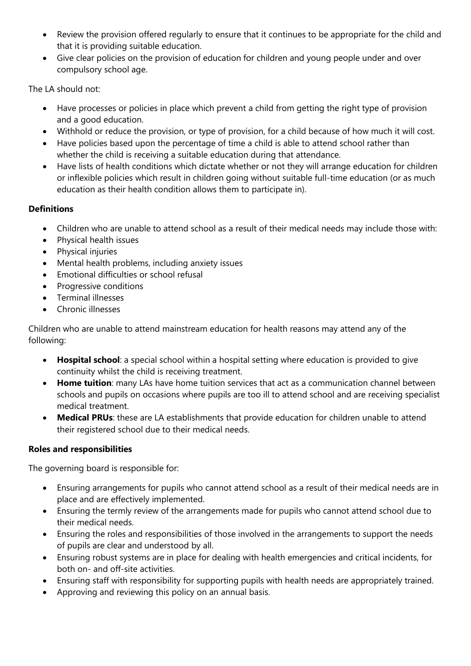- Review the provision offered regularly to ensure that it continues to be appropriate for the child and that it is providing suitable education.
- Give clear policies on the provision of education for children and young people under and over compulsory school age.

The LA should not:

- Have processes or policies in place which prevent a child from getting the right type of provision and a good education.
- Withhold or reduce the provision, or type of provision, for a child because of how much it will cost.
- Have policies based upon the percentage of time a child is able to attend school rather than whether the child is receiving a suitable education during that attendance.
- Have lists of health conditions which dictate whether or not they will arrange education for children or inflexible policies which result in children going without suitable full-time education (or as much education as their health condition allows them to participate in).

## **Definitions**

- Children who are unable to attend school as a result of their medical needs may include those with:
- Physical health issues
- Physical injuries
- Mental health problems, including anxiety issues
- Emotional difficulties or school refusal
- Progressive conditions
- Terminal illnesses
- Chronic illnesses

Children who are unable to attend mainstream education for health reasons may attend any of the following:

- **Hospital school**: a special school within a hospital setting where education is provided to give continuity whilst the child is receiving treatment.
- **Home tuition**: many LAs have home tuition services that act as a communication channel between schools and pupils on occasions where pupils are too ill to attend school and are receiving specialist medical treatment.
- **Medical PRUs**: these are LA establishments that provide education for children unable to attend their registered school due to their medical needs.

### **Roles and responsibilities**

The governing board is responsible for:

- Ensuring arrangements for pupils who cannot attend school as a result of their medical needs are in place and are effectively implemented.
- Ensuring the termly review of the arrangements made for pupils who cannot attend school due to their medical needs.
- Ensuring the roles and responsibilities of those involved in the arrangements to support the needs of pupils are clear and understood by all.
- Ensuring robust systems are in place for dealing with health emergencies and critical incidents, for both on- and off-site activities.
- Ensuring staff with responsibility for supporting pupils with health needs are appropriately trained.
- Approving and reviewing this policy on an annual basis.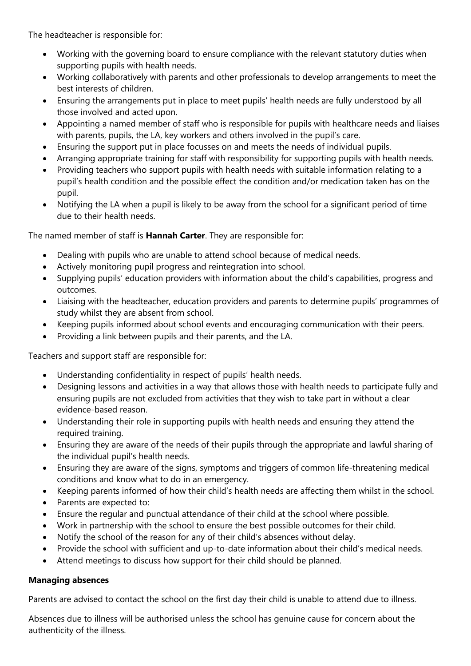The headteacher is responsible for:

- Working with the governing board to ensure compliance with the relevant statutory duties when supporting pupils with health needs.
- Working collaboratively with parents and other professionals to develop arrangements to meet the best interests of children.
- Ensuring the arrangements put in place to meet pupils' health needs are fully understood by all those involved and acted upon.
- Appointing a named member of staff who is responsible for pupils with healthcare needs and liaises with parents, pupils, the LA, key workers and others involved in the pupil's care.
- Ensuring the support put in place focusses on and meets the needs of individual pupils.
- Arranging appropriate training for staff with responsibility for supporting pupils with health needs.
- Providing teachers who support pupils with health needs with suitable information relating to a pupil's health condition and the possible effect the condition and/or medication taken has on the pupil.
- Notifying the LA when a pupil is likely to be away from the school for a significant period of time due to their health needs.

The named member of staff is **Hannah Carter**. They are responsible for:

- Dealing with pupils who are unable to attend school because of medical needs.
- Actively monitoring pupil progress and reintegration into school.
- Supplying pupils' education providers with information about the child's capabilities, progress and outcomes.
- Liaising with the headteacher, education providers and parents to determine pupils' programmes of study whilst they are absent from school.
- Keeping pupils informed about school events and encouraging communication with their peers.
- Providing a link between pupils and their parents, and the LA.

Teachers and support staff are responsible for:

- Understanding confidentiality in respect of pupils' health needs.
- Designing lessons and activities in a way that allows those with health needs to participate fully and ensuring pupils are not excluded from activities that they wish to take part in without a clear evidence-based reason.
- Understanding their role in supporting pupils with health needs and ensuring they attend the required training.
- Ensuring they are aware of the needs of their pupils through the appropriate and lawful sharing of the individual pupil's health needs.
- Ensuring they are aware of the signs, symptoms and triggers of common life-threatening medical conditions and know what to do in an emergency.
- Keeping parents informed of how their child's health needs are affecting them whilst in the school.
- Parents are expected to:
- Ensure the regular and punctual attendance of their child at the school where possible.
- Work in partnership with the school to ensure the best possible outcomes for their child.
- Notify the school of the reason for any of their child's absences without delay.
- Provide the school with sufficient and up-to-date information about their child's medical needs.
- Attend meetings to discuss how support for their child should be planned.

### **Managing absences**

Parents are advised to contact the school on the first day their child is unable to attend due to illness.

Absences due to illness will be authorised unless the school has genuine cause for concern about the authenticity of the illness.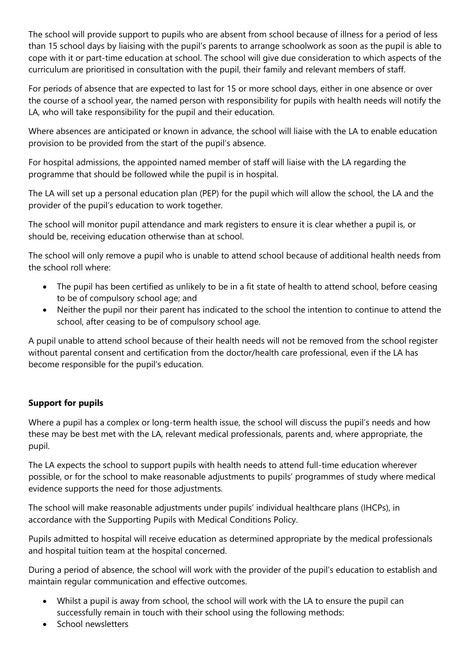The school will provide support to pupils who are absent from school because of illness for a period of less than 15 school days by liaising with the pupil's parents to arrange schoolwork as soon as the pupil is able to cope with it or part-time education at school. The school will give due consideration to which aspects of the curriculum are prioritised in consultation with the pupil, their family and relevant members of staff.

For periods of absence that are expected to last for 15 or more school days, either in one absence or over the course of a school year, the named person with responsibility for pupils with health needs will notify the LA, who will take responsibility for the pupil and their education.

Where absences are anticipated or known in advance, the school will liaise with the LA to enable education provision to be provided from the start of the pupil's absence.

For hospital admissions, the appointed named member of staff will liaise with the LA regarding the programme that should be followed while the pupil is in hospital.

The LA will set up a personal education plan (PEP) for the pupil which will allow the school, the LA and the provider of the pupil's education to work together.

The school will monitor pupil attendance and mark registers to ensure it is clear whether a pupil is, or should be, receiving education otherwise than at school.

The school will only remove a pupil who is unable to attend school because of additional health needs from the school roll where:

- The pupil has been certified as unlikely to be in a fit state of health to attend school, before ceasing to be of compulsory school age; and
- Neither the pupil nor their parent has indicated to the school the intention to continue to attend the school, after ceasing to be of compulsory school age.

A pupil unable to attend school because of their health needs will not be removed from the school register without parental consent and certification from the doctor/health care professional, even if the LA has become responsible for the pupil's education.

## **Support for pupils**

Where a pupil has a complex or long-term health issue, the school will discuss the pupil's needs and how these may be best met with the LA, relevant medical professionals, parents and, where appropriate, the pupil.

The LA expects the school to support pupils with health needs to attend full-time education wherever possible, or for the school to make reasonable adjustments to pupils' programmes of study where medical evidence supports the need for those adjustments.

The school will make reasonable adjustments under pupils' individual healthcare plans (IHCPs), in accordance with the Supporting Pupils with Medical Conditions Policy.

Pupils admitted to hospital will receive education as determined appropriate by the medical professionals and hospital tuition team at the hospital concerned.

During a period of absence, the school will work with the provider of the pupil's education to establish and maintain regular communication and effective outcomes.

- Whilst a pupil is away from school, the school will work with the LA to ensure the pupil can successfully remain in touch with their school using the following methods:
- School newsletters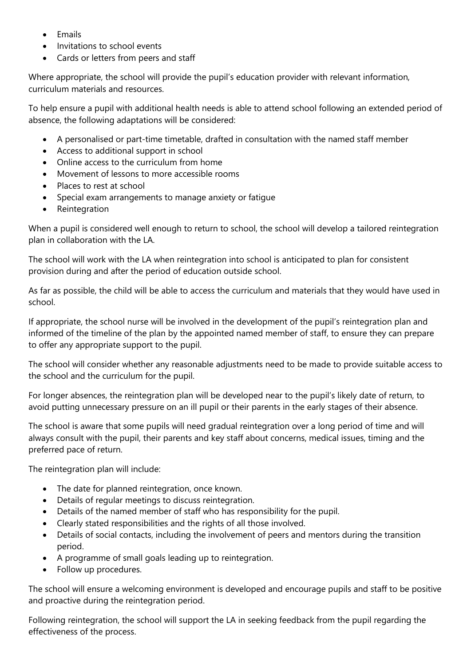- Emails
- Invitations to school events
- Cards or letters from peers and staff

Where appropriate, the school will provide the pupil's education provider with relevant information, curriculum materials and resources.

To help ensure a pupil with additional health needs is able to attend school following an extended period of absence, the following adaptations will be considered:

- A personalised or part-time timetable, drafted in consultation with the named staff member
- Access to additional support in school
- Online access to the curriculum from home
- Movement of lessons to more accessible rooms
- Places to rest at school
- Special exam arrangements to manage anxiety or fatigue
- Reintegration

When a pupil is considered well enough to return to school, the school will develop a tailored reintegration plan in collaboration with the LA.

The school will work with the LA when reintegration into school is anticipated to plan for consistent provision during and after the period of education outside school.

As far as possible, the child will be able to access the curriculum and materials that they would have used in school.

If appropriate, the school nurse will be involved in the development of the pupil's reintegration plan and informed of the timeline of the plan by the appointed named member of staff, to ensure they can prepare to offer any appropriate support to the pupil.

The school will consider whether any reasonable adjustments need to be made to provide suitable access to the school and the curriculum for the pupil.

For longer absences, the reintegration plan will be developed near to the pupil's likely date of return, to avoid putting unnecessary pressure on an ill pupil or their parents in the early stages of their absence.

The school is aware that some pupils will need gradual reintegration over a long period of time and will always consult with the pupil, their parents and key staff about concerns, medical issues, timing and the preferred pace of return.

The reintegration plan will include:

- The date for planned reintegration, once known.
- Details of regular meetings to discuss reintegration.
- Details of the named member of staff who has responsibility for the pupil.
- Clearly stated responsibilities and the rights of all those involved.
- Details of social contacts, including the involvement of peers and mentors during the transition period.
- A programme of small goals leading up to reintegration.
- Follow up procedures.

The school will ensure a welcoming environment is developed and encourage pupils and staff to be positive and proactive during the reintegration period.

Following reintegration, the school will support the LA in seeking feedback from the pupil regarding the effectiveness of the process.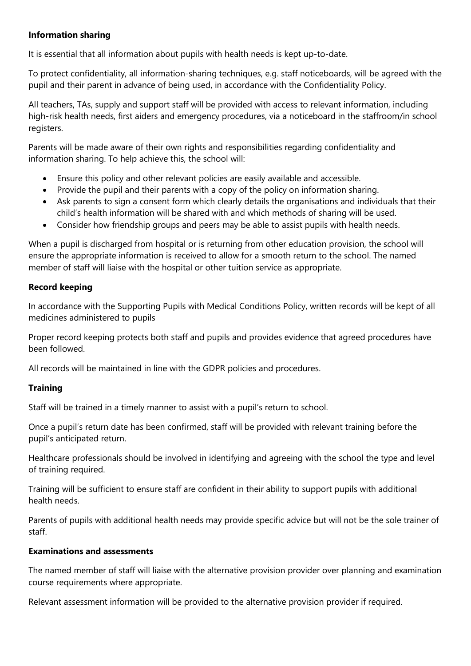### **Information sharing**

It is essential that all information about pupils with health needs is kept up-to-date.

To protect confidentiality, all information-sharing techniques, e.g. staff noticeboards, will be agreed with the pupil and their parent in advance of being used, in accordance with the Confidentiality Policy.

All teachers, TAs, supply and support staff will be provided with access to relevant information, including high-risk health needs, first aiders and emergency procedures, via a noticeboard in the staffroom/in school registers.

Parents will be made aware of their own rights and responsibilities regarding confidentiality and information sharing. To help achieve this, the school will:

- Ensure this policy and other relevant policies are easily available and accessible.
- Provide the pupil and their parents with a copy of the policy on information sharing.
- Ask parents to sign a consent form which clearly details the organisations and individuals that their child's health information will be shared with and which methods of sharing will be used.
- Consider how friendship groups and peers may be able to assist pupils with health needs.

When a pupil is discharged from hospital or is returning from other education provision, the school will ensure the appropriate information is received to allow for a smooth return to the school. The named member of staff will liaise with the hospital or other tuition service as appropriate.

## **Record keeping**

In accordance with the Supporting Pupils with Medical Conditions Policy, written records will be kept of all medicines administered to pupils

Proper record keeping protects both staff and pupils and provides evidence that agreed procedures have been followed.

All records will be maintained in line with the GDPR policies and procedures.

## **Training**

Staff will be trained in a timely manner to assist with a pupil's return to school.

Once a pupil's return date has been confirmed, staff will be provided with relevant training before the pupil's anticipated return.

Healthcare professionals should be involved in identifying and agreeing with the school the type and level of training required.

Training will be sufficient to ensure staff are confident in their ability to support pupils with additional health needs.

Parents of pupils with additional health needs may provide specific advice but will not be the sole trainer of staff.

### **Examinations and assessments**

The named member of staff will liaise with the alternative provision provider over planning and examination course requirements where appropriate.

Relevant assessment information will be provided to the alternative provision provider if required.